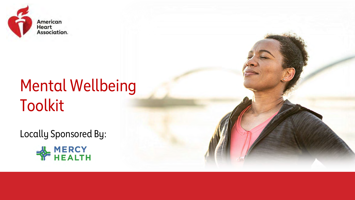

## Mental Wellbeing Toolkit

Locally Sponsored By:



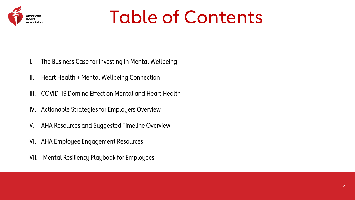

## Table of Contents

- I. The Business Case for Investing in Mental Wellbeing
- II. Heart Health + Mental Wellbeing Connection
- III. COVID-19 Domino Effect on Mental and Heart Health
- IV. Actionable Strategies for Employers Overview
- V. AHA Resources and Suggested Timeline Overview
- VI. AHA Employee Engagement Resources
- VII. Mental Resiliency Playbook for Employees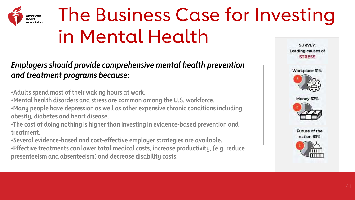

# The Business Case for Investing in Mental Health

### *Employers should provide comprehensive mental health prevention and treatment programs because:*

•**Adults spend most of their waking hours at work.**

•**Mental health disorders and stress are common among the U.S. workforce.**

•**Many people have depression as well as other expensive chronic conditions including obesity, diabetes and heart disease.**

•**The cost of doing nothing is higher than investing in evidence-based prevention and treatment.**

•**Several evidence-based and cost-effective employer strategies are available.** •**Effective treatments can lower total medical costs, increase productivity, (e.g. reduce presenteeism and absenteeism) and decrease disability costs.**

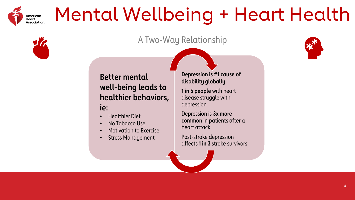

## Mental Wellbeing + Heart Health

### A Two-Way Relationship



**Better mental well-being leads to healthier behaviors, ie:**

- Healthier Diet
- No Tobacco Use
- Motivation to Exercise
- Stress Management

#### **Depression is #1 cause of disability globally**

**1 in 5 people** with heart disease struggle with depression

Depression is **3x more common** in patients after a heart attack

Post-stroke depression affects **1 in 3** stroke survivors

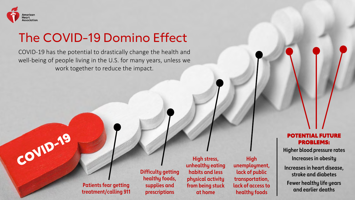

COVID-19

### The COVID-19 Domino Effect

COVID-19 has the potential to drastically change the health and well-being of people living in the U.S. for many years, unless we work together to reduce the impact.

> **Patients fear getting treatment/calling 911**

**Difficulty getting healthy foods, supplies and prescriptions**

**High stress, unhealthy eating habits and less physical activity from being stuck at home**

**High unemployment, lack of public transportation, lack of accessto healthy foods**

#### POTENTIAL FUTURE PROBLEMS:

**Higher blood pressure rates Increases in obesity**

**Increases in heart disease, stroke and diabetes Fewer healthy life years and earlier deaths**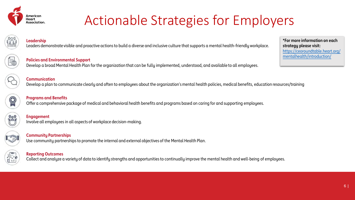

### Actionable Strategies for Employers



#### **Leadership**

Leaders demonstrate visible and proactive actions to build a diverse and inclusive culture that supports a mental health-friendly workplace.

**Policies and Environmental Support** Develop a broad Mental Health Plan for the organization that can be fully implemented, understood, and available to all employees. **\*For more information on each strategy please visit:**  [https://ceoroundtable.heart.org/](https://ceoroundtable.heart.org/mentalhealth/introduction/)  mentalhealth/introduction/

**Communication** Develop a plan to communicate clearly and often to employees about the organization's mental health policies, medical benefits, education resources/training

**Programs and Benefits** Offer a comprehensive package of medical and behavioral health benefits and programs based on caring for and supporting employees.



**Engagement** Involve all employees in all aspects of workplace decision-making.



#### **Community Partnerships** Use community partnerships to promote the internal and external objectives of the Mental Health Plan.



#### **Reporting Outcomes**

Collect and analyze a variety of data to identify strengths and opportunitiesto continually improve the mental health and well-being of employees.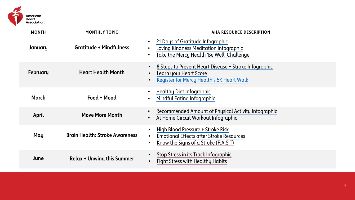

| <b>MONTH</b> | <b>MONTHLY TOPIC</b>                  | <b>AHA RESOURCE DESCRIPTION</b>                                                                                                                                            |
|--------------|---------------------------------------|----------------------------------------------------------------------------------------------------------------------------------------------------------------------------|
| January      | <b>Gratitude + Mindfulness</b>        | 21 Days of Gratitude Infographic<br>$\bullet$<br>Loving Kindness Meditation Infographic<br>$\bullet$<br>Take the Mercy Health 'Be Well' Challenge<br>$\bullet$             |
| February     | <b>Heart Health Month</b>             | 8 Steps to Prevent Heart Disease + Stroke Infographic<br>$\bullet$<br>Learn your Heart Score<br>$\bullet$<br><b>Register for Mercy Health's 5K Heart Walk</b><br>$\bullet$ |
| March        | Food + Mood                           | <b>Healthy Diet Infographic</b><br>$\bullet$<br>Mindful Eating Infographic<br>$\bullet$                                                                                    |
| April        | <b>Move More Month</b>                | Recommended Amount of Physical Activity Infographic<br>$\bullet$<br>At Home Circuit Workout Infographic<br>$\bullet$                                                       |
| May          | <b>Brain Health: Stroke Awareness</b> | High Blood Pressure + Stroke Risk<br>$\bullet$<br><b>Emotional Effects after Stroke Resources</b><br>$\bullet$<br>Know the Signs of a Stroke (F.A.S.T)<br>$\bullet$        |
| June         | <b>Relax + Unwind this Summer</b>     | Stop Stress in its Track Infographic<br>$\bullet$<br><b>Fight Stress with Healthy Habits</b><br>$\bullet$                                                                  |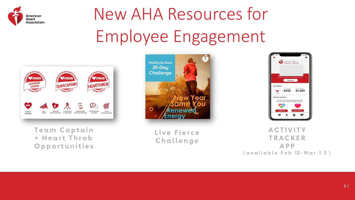

# New AHA Resources for Employee Engagement



 **Team Captain + H e a r t T h r o b O pp o r t u n i t i e s**



**Live Fierce C h a l l e n ge**



**A C T IV I TY TR A C KE R A P P ( a v a i l a b l e F e b 13 - M a r 1 3 )**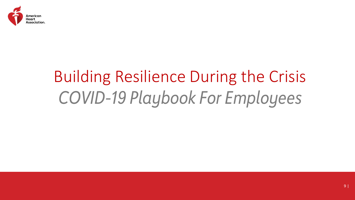

## Building Resilience During the Crisis *COVID-19 Playbook For Employees*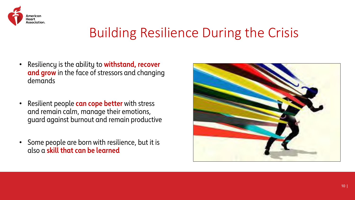

### Building Resilience During the Crisis

- Resiliency is the ability to **withstand, recover and grow** in the face of stressors and changing demands
- Resilient people **can cope better** with stress and remain calm, manage their emotions, guard against burnout and remain productive
- Some people are born with resilience, but it is also a **skill that can be learned**

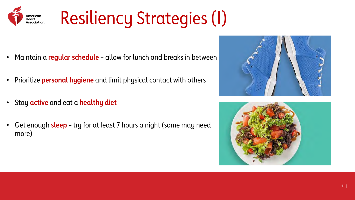

- Maintain a **regular schedule** allow for lunch and breaks in between
- Prioritize **personal hygiene** and limit physical contact with others
- Stay **active** and eat a **healthy diet**
- Get enough **sleep –** try for at least 7 hours a night (some may need more)



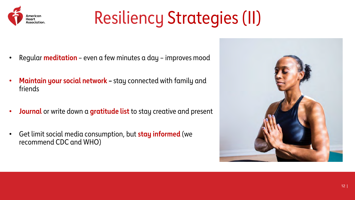

# Resiliency Strategies (II)

- Regular **meditation** even a few minutes a day improves mood
- **Maintain your social network –** stay connected with family and friends
- **Journal** or write down a **gratitude list** to stay creative and present
- Get limit social media consumption, but **stay informed** (we recommend CDC and WHO)

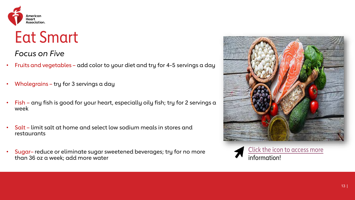

### Eat Smart

*Focus on Five*

- Fruits and vegetables add color to your diet and try for 4-5 servings a day
- Wholegrains try for 3 servings a day
- Fish any fish is good for your heart, especially oily fish; try for 2 servings  $a$ week
- Salt limit salt at home and select low sodium meals in stores and restaurants
- Sugar– reduce or eliminate sugar sweetened beverages; try for no more than 36 oz a week; add more water



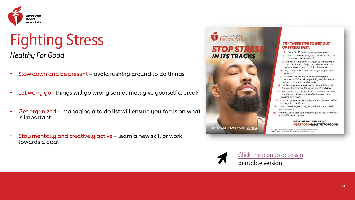

### Fighting Stress *Healthy For Good*

- Slow down and be present avoid rushing around to do things
- Let worry go-things will go wrong sometimes; give yourself a break
- Get organized managing a to do list will ensure you focus on wha[t](https://www.heart.org/-/media/AHA/H4GM/PDF-Files/Stop_stress_tips_to_lower_stress_infographic.pdf)  is important
- Stay mentally and creatively active learn a new skill or work towards a goal



#### **TRY THESE TIPS TO GET OUT** OF STRESS FAST.

- 1. Count to 10 before you speak or react.
- 2. Take a few slow, deep breaths until you feel your body unclench a bit.
- 3. Go for a walk, even if it's just to the restroom and back. It can help break the tension and give you a chance to think things through.
- 4. Try a quick meditation or prayer to get some perspective.
- 5. If it's not urgent, sleep on it and respond tomorrow. This works especially well for stressful emails and social media trolls.
- 6. Walk away from the situation for a while, and handle it later once things have calmed down.
- 7. Break down big problems into smaller parts. Take one step at a time instead of trying to tackle everything at once.
- 8. Chill out with music or an inspiration podcast to help you rage less on the road.
- 9. Take a break to pet a dog, hug a loved one or help someone out.
- 10. Work out or do something active. Exercise is one of the best antidotes for stress.

#### **GET MORE WELLNESS TIPS AT HEART.ORG/HEALTHYFORGOOD**

0 Copyright 2020 American Heart Association, Inc., a 501(c)(3) not-for-profit. All rights reserved.<br>Healthy for Good is a trademark of the AHA. Unauthorized use prohibited. 8/20 DS18478



Click the icon to [access](https://www.heart.org/-/media/AHA/H4GM/PDF-Files/Stop_stress_tips_to_lower_stress_infographic.pdf) a printable version!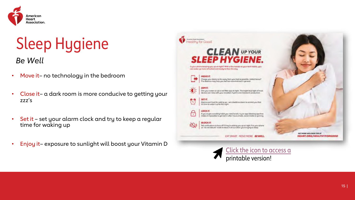

## Sleep Hygiene

*Be Well*

- Move it– no technology in the bedroom
- Close it– a dark room is more conducive to getting your zzz's
- Set it set your alarm clock and try to keep a regular time for waking up
- Enjoy it– exposure to sunlight will boost your Vitamin D